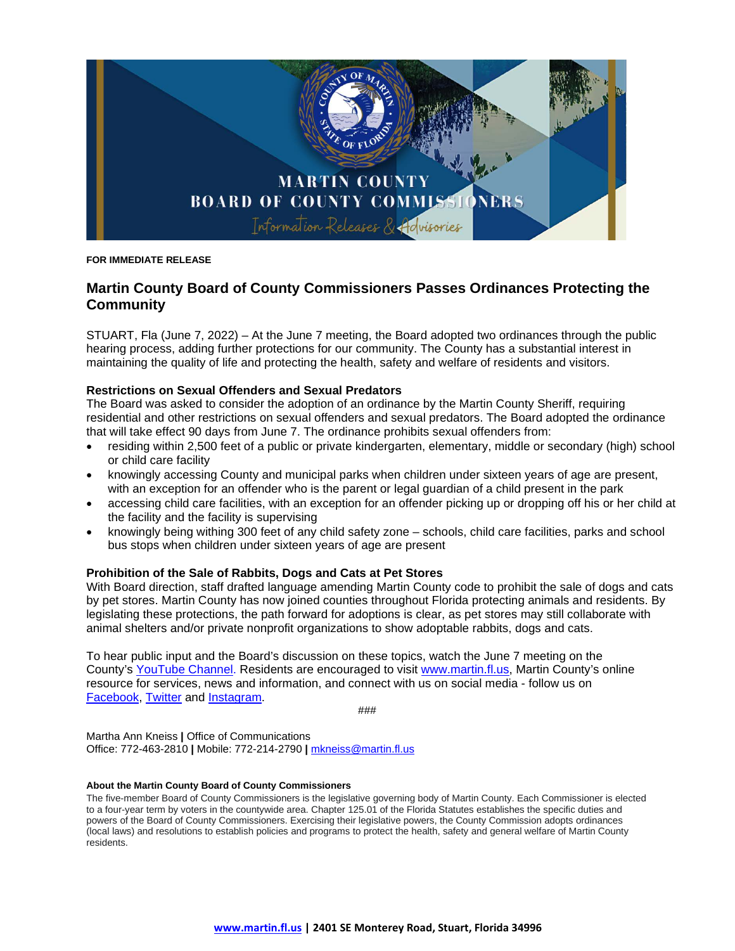

**FOR IMMEDIATE RELEASE**

## **Martin County Board of County Commissioners Passes Ordinances Protecting the Community**

STUART, Fla (June 7, 2022) – At the June 7 meeting, the Board adopted two ordinances through the public hearing process, adding further protections for our community. The County has a substantial interest in maintaining the quality of life and protecting the health, safety and welfare of residents and visitors.

## **Restrictions on Sexual Offenders and Sexual Predators**

The Board was asked to consider the adoption of an ordinance by the Martin County Sheriff, requiring residential and other restrictions on sexual offenders and sexual predators. The Board adopted the ordinance that will take effect 90 days from June 7. The ordinance prohibits sexual offenders from:

- residing within 2,500 feet of a public or private kindergarten, elementary, middle or secondary (high) school or child care facility
- knowingly accessing County and municipal parks when children under sixteen years of age are present, with an exception for an offender who is the parent or legal guardian of a child present in the park
- accessing child care facilities, with an exception for an offender picking up or dropping off his or her child at the facility and the facility is supervising
- knowingly being withing 300 feet of any child safety zone schools, child care facilities, parks and school bus stops when children under sixteen years of age are present

## **Prohibition of the Sale of Rabbits, Dogs and Cats at Pet Stores**

With Board direction, staff drafted language amending Martin County code to prohibit the sale of dogs and cats by pet stores. Martin County has now joined counties throughout Florida protecting animals and residents. By legislating these protections, the path forward for adoptions is clear, as pet stores may still collaborate with animal shelters and/or private nonprofit organizations to show adoptable rabbits, dogs and cats.

To hear public input and the Board's discussion on these topics, watch the June 7 meeting on the County's [YouTube Channel.](https://www.youtube.com/user/MartinCountyFL/videos) Residents are encouraged to visit [www.martin.fl.us,](http://www.martin.fl.us/) Martin County's online resource for services, news and information, and connect with us on social media - follow us on [Facebook,](https://www.facebook.com/MartinCountyBoardofCountyCommissioners) [Twitter](https://twitter.com/MartinCountygov) and [Instagram.](https://www.instagram.com/martincountyflorida/)

###

Martha Ann Kneiss **|** Office of Communications Office: 772-463-2810 **|** Mobile: 772-214-2790 **|** [mkneiss@martin.fl.us](mailto:mkneiss@martin.fl.us)

## **About the Martin County Board of County Commissioners**

The five-member Board of County Commissioners is the legislative governing body of Martin County. Each Commissioner is elected to a four-year term by voters in the countywide area. Chapter 125.01 of the Florida Statutes establishes the specific duties and powers of the Board of County Commissioners. Exercising their legislative powers, the County Commission adopts ordinances (local laws) and resolutions to establish policies and programs to protect the health, safety and general welfare of Martin County residents.